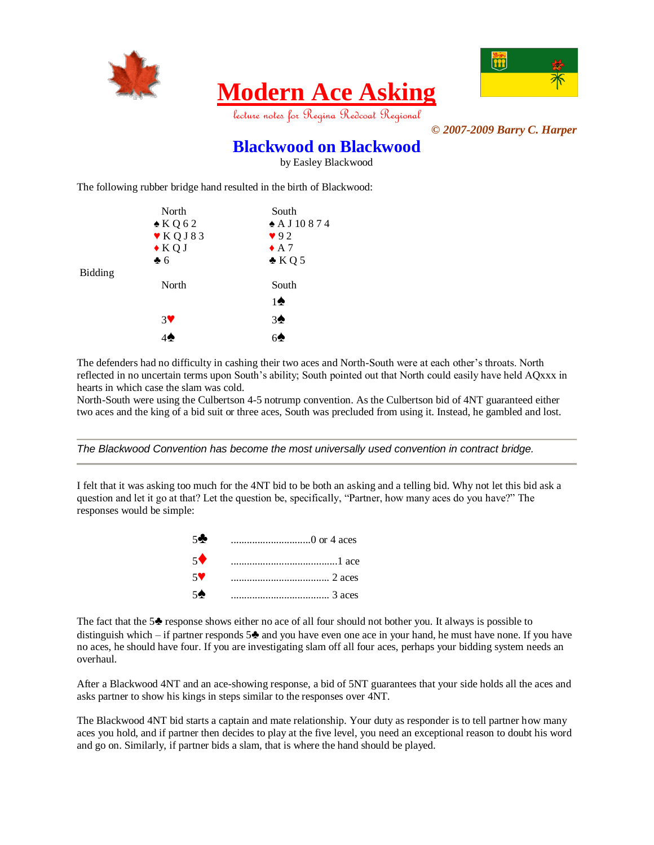

# **Modern Ace Asking**



lecture notes for Regina Redcoat Regional

*© 2007-2009 Barry C. Harper*

#### **Blackwood on Blackwood**

by Easley Blackwood

The following rubber bridge hand resulted in the birth of Blackwood:

| South                 |
|-----------------------|
| $\triangle$ A J 10874 |
| 92                    |
| $\triangle$ A 7       |
| $\triangle KQ5$       |
|                       |
| South                 |
| $1\spadesuit$         |
| 3 <sup>4</sup>        |
|                       |
|                       |

The defenders had no difficulty in cashing their two aces and North-South were at each other's throats. North reflected in no uncertain terms upon South's ability; South pointed out that North could easily have held AQxxx in hearts in which case the slam was cold.

North-South were using the Culbertson 4-5 notrump convention. As the Culbertson bid of 4NT guaranteed either two aces and the king of a bid suit or three aces, South was precluded from using it. Instead, he gambled and lost.

*The Blackwood Convention has become the most universally used convention in contract bridge.*

I felt that it was asking too much for the 4NT bid to be both an asking and a telling bid. Why not let this bid ask a question and let it go at that? Let the question be, specifically, "Partner, how many aces do you have?" The responses would be simple:

| 50             |          |
|----------------|----------|
| $5^{\bullet}$  |          |
| 5♥             |          |
| 5 <sup>4</sup> | $3$ aces |

The fact that the 5♣ response shows either no ace of all four should not bother you. It always is possible to distinguish which – if partner responds  $5\clubsuit$  and you have even one ace in your hand, he must have none. If you have no aces, he should have four. If you are investigating slam off all four aces, perhaps your bidding system needs an overhaul.

After a Blackwood 4NT and an ace-showing response, a bid of 5NT guarantees that your side holds all the aces and asks partner to show his kings in steps similar to the responses over 4NT.

The Blackwood 4NT bid starts a captain and mate relationship. Your duty as responder is to tell partner how many aces you hold, and if partner then decides to play at the five level, you need an exceptional reason to doubt his word and go on. Similarly, if partner bids a slam, that is where the hand should be played.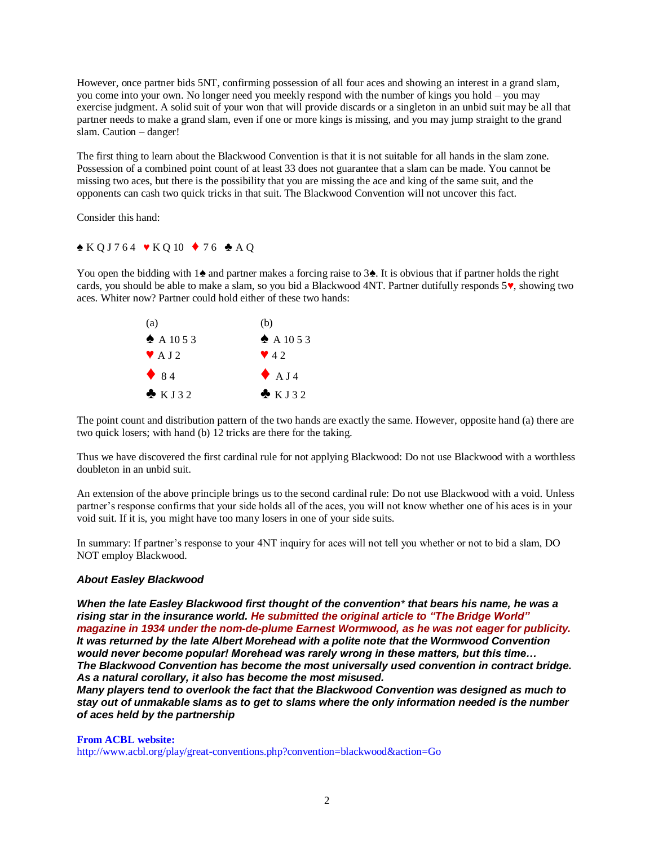However, once partner bids 5NT, confirming possession of all four aces and showing an interest in a grand slam, you come into your own. No longer need you meekly respond with the number of kings you hold – you may exercise judgment. A solid suit of your won that will provide discards or a singleton in an unbid suit may be all that partner needs to make a grand slam, even if one or more kings is missing, and you may jump straight to the grand slam. Caution – danger!

The first thing to learn about the Blackwood Convention is that it is not suitable for all hands in the slam zone. Possession of a combined point count of at least 33 does not guarantee that a slam can be made. You cannot be missing two aces, but there is the possibility that you are missing the ace and king of the same suit, and the opponents can cash two quick tricks in that suit. The Blackwood Convention will not uncover this fact.

Consider this hand:

 $\triangle$  KQ J 764  $\triangledown$  KQ 10  $\triangle$  76  $\triangle$  A Q

You open the bidding with 1♠ and partner makes a forcing raise to 3♠. It is obvious that if partner holds the right cards, you should be able to make a slam, so you bid a Blackwood 4NT. Partner dutifully responds 5♥, showing two aces. Whiter now? Partner could hold either of these two hands:



The point count and distribution pattern of the two hands are exactly the same. However, opposite hand (a) there are two quick losers; with hand (b) 12 tricks are there for the taking.

Thus we have discovered the first cardinal rule for not applying Blackwood: Do not use Blackwood with a worthless doubleton in an unbid suit.

An extension of the above principle brings us to the second cardinal rule: Do not use Blackwood with a void. Unless partner's response confirms that your side holds all of the aces, you will not know whether one of his aces is in your void suit. If it is, you might have too many losers in one of your side suits.

In summary: If partner's response to your 4NT inquiry for aces will not tell you whether or not to bid a slam, DO NOT employ Blackwood.

#### *About Easley Blackwood*

*When the late Easley Blackwood first thought of the convention\* that bears his name, he was a rising star in the insurance world. He [submitted](http://www.acbl.org/news_archive.php?id=47) the original article to "The Bridge World" magazine in 1934 under the [nom-de-plume](http://www.acbl.org/news_archive.php?id=47) Earnest Wormwood, as he was not eager for publicity. It was returned by the late Albert Morehead with a polite note that the Wormwood Convention would never become popular! Morehead was rarely wrong in these matters, but this time… The Blackwood Convention has become the most universally used convention in contract bridge. As a natural corollary, it also has become the most misused.* 

*Many players tend to overlook the fact that the Blackwood Convention was designed as much to stay out of unmakable slams as to get to slams where the only information needed is the number of aces held by the partnership*

**From ACBL website:** <http://www.acbl.org/play/great-conventions.php?convention=blackwood&action=Go>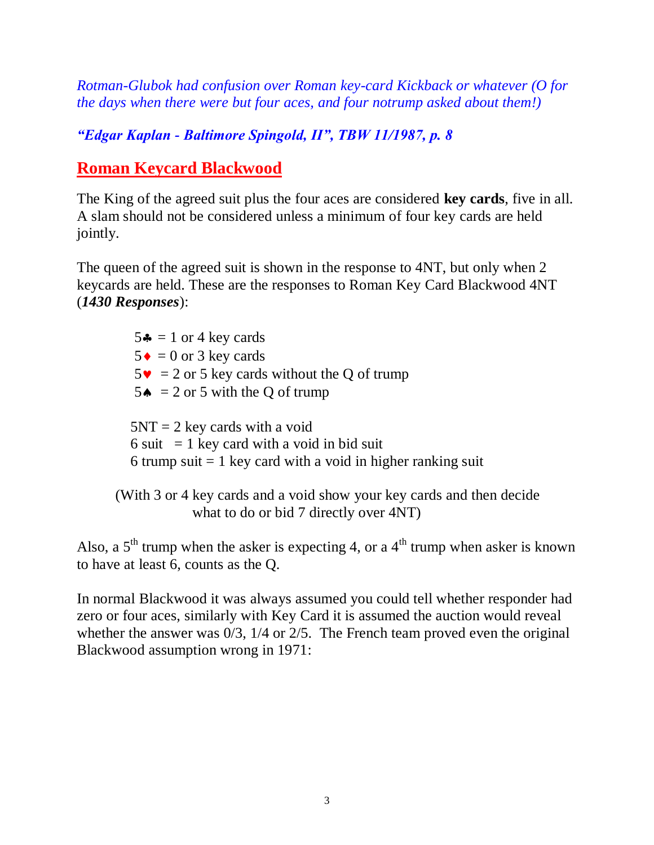*Rotman-Glubok had confusion over Roman key-card Kickback or whatever (O for the days when there were but four aces, and four notrump asked about them!)*

*"Edgar Kaplan - Baltimore Spingold, II", TBW 11/1987, p. 8*

### **Roman Keycard Blackwood**

The King of the agreed suit plus the four aces are considered **key cards**, five in all. A slam should not be considered unless a minimum of four key cards are held jointly.

The queen of the agreed suit is shown in the response to 4NT, but only when 2 keycards are held. These are the responses to Roman Key Card Blackwood 4NT (*1430 Responses*):

 $5 - 1$  or 4 key cards  $5 \bullet = 0$  or 3 key cards  $5\mathbf{v} = 2$  or 5 key cards without the Q of trump 5 $\triangle$  = 2 or 5 with the Q of trump  $5NT = 2$  key cards with a void 6 suit  $= 1$  key card with a void in bid suit 6 trump suit  $= 1$  key card with a void in higher ranking suit

(With 3 or 4 key cards and a void show your key cards and then decide what to do or bid 7 directly over 4NT)

Also, a  $5<sup>th</sup>$  trump when the asker is expecting 4, or a  $4<sup>th</sup>$  trump when asker is known to have at least 6, counts as the Q.

In normal Blackwood it was always assumed you could tell whether responder had zero or four aces, similarly with Key Card it is assumed the auction would reveal whether the answer was  $0/3$ ,  $1/4$  or  $2/5$ . The French team proved even the original Blackwood assumption wrong in 1971: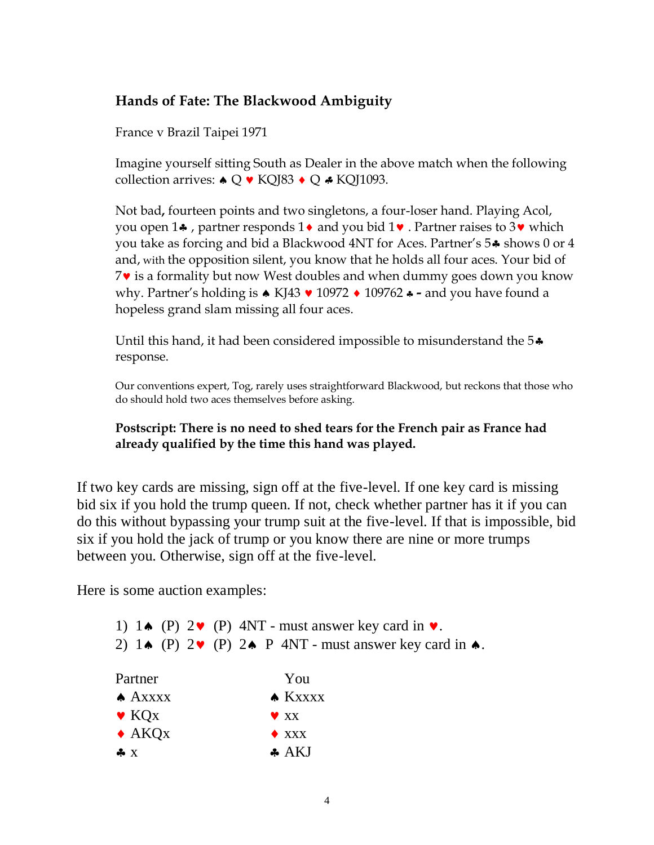#### **Hands of Fate: The Blackwood Ambiguity**

France v Brazil Taipei 1971

Imagine yourself sitting South as Dealer in the above match when the following collection arrives:  $\triangle \mathbb{Q} \times \mathbb{K}$ QJ83  $\triangle \mathbb{Q} \times \mathbb{K}$ QJ1093.

Not bad**,** fourteen points and two singletons, a four-loser hand. Playing Acol, you open 14, partner responds 1 $\bullet$  and you bid 1 $\bullet$ . Partner raises to 3 $\bullet$  which you take as forcing and bid a Blackwood 4NT for Aces. Partner's 5<sup>\*</sup> shows 0 or 4 and, with the opposition silent, you know that he holds all four aces. Your bid of  $7\bullet$  is a formality but now West doubles and when dummy goes down you know why. Partner's holding is ▲ KJ43  $\blacktriangledown$  10972 ◆ 109762 ↔ - and you have found a hopeless grand slam missing all four aces.

Until this hand, it had been considered impossible to misunderstand the 5 $\clubsuit$ response.

Our conventions expert, Tog, rarely uses straightforward Blackwood, but reckons that those who do should hold two aces themselves before asking.

#### **Postscript: There is no need to shed tears for the French pair as France had already qualified by the time this hand was played.**

If two key cards are missing, sign off at the five-level. If one key card is missing bid six if you hold the trump queen. If not, check whether partner has it if you can do this without bypassing your trump suit at the five-level. If that is impossible, bid six if you hold the jack of trump or you know there are nine or more trumps between you. Otherwise, sign off at the five-level.

Here is some auction examples:

|                                       | 1) 1. (P) $2\mathbf{v}$ (P) 4NT - must answer key card in $\mathbf{v}$ .                  |
|---------------------------------------|-------------------------------------------------------------------------------------------|
|                                       | 2) $1 \triangle (P) 2 \vee (P) 2 \triangle P 4NT$ - must answer key card in $\triangle$ . |
| Partner                               | You                                                                                       |
| $A$ Axxxx                             | $\triangle$ Kxxxx                                                                         |
| $\blacktriangleright$ KQ <sub>x</sub> | $\blacktriangledown$ XX                                                                   |
| $\triangle$ AKQ <sub>x</sub>          | $\triangle$ XXX                                                                           |
| $\clubsuit$ X                         | $\clubsuit$ AKJ                                                                           |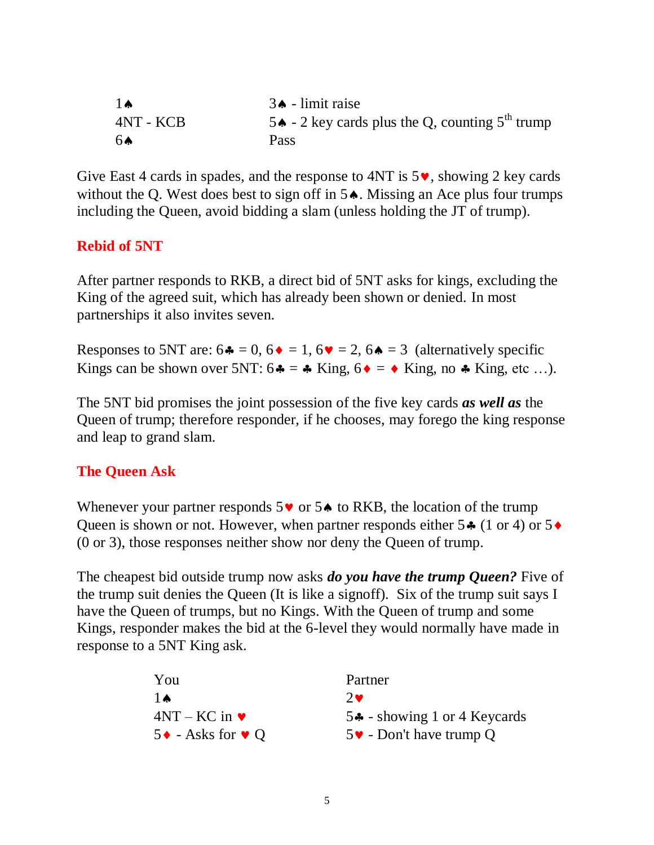| $1\spadesuit$ | $3 \triangle$ - limit raise                       |
|---------------|---------------------------------------------------|
| 4NT - KCB     | 5. - 2 key cards plus the Q, counting $5th$ trump |
| 6Ѧ            | Pass                                              |

Give East 4 cards in spades, and the response to 4NT is  $5\vee$ , showing 2 key cards without the Q. West does best to sign off in  $5\spadesuit$ . Missing an Ace plus four trumps including the Queen, avoid bidding a slam (unless holding the JT of trump).

#### **Rebid of 5NT**

After partner responds to RKB, a direct bid of 5NT asks for kings, excluding the King of the agreed suit, which has already been shown or denied. In most partnerships it also invites seven.

Responses to 5NT are:  $6\bullet = 0$ ,  $6\bullet = 1$ ,  $6\bullet = 2$ ,  $6\bullet = 3$  (alternatively specific Kings can be shown over 5NT:  $6 \cdot = \cdot k$  King,  $6 \cdot = \cdot k$  King, no  $\cdot k$  King, etc ...).

The 5NT bid promises the joint possession of the five key cards *as well as* the Queen of trump; therefore responder, if he chooses, may forego the king response and leap to grand slam.

#### **The Queen Ask**

Whenever your partner responds  $5\vee$  or  $5\triangle$  to RKB, the location of the trump Queen is shown or not. However, when partner responds either  $5 \cdot (1 \text{ or } 4)$  or  $5 \cdot$ (0 or 3), those responses neither show nor deny the Queen of trump.

The cheapest bid outside trump now asks *do you have the trump Queen?* Five of the trump suit denies the Queen (It is like a signoff). Six of the trump suit says I have the Queen of trumps, but no Kings. With the Queen of trump and some Kings, responder makes the bid at the 6-level they would normally have made in response to a 5NT King ask.

| You                                        | Partner                                     |
|--------------------------------------------|---------------------------------------------|
| $1\spadesuit$                              | $2\bullet$                                  |
| $4NT - KC$ in $\blacktriangleright$        | $54$ - showing 1 or 4 Keycards              |
| $5 \rightarrow -$ Asks for $\rightarrow Q$ | $5\blacktriangleright$ - Don't have trump Q |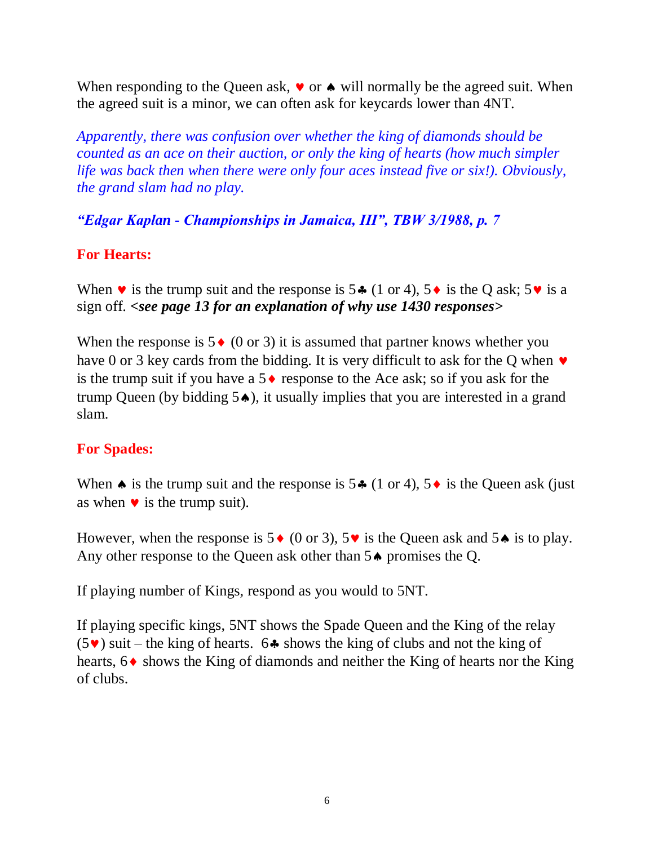When responding to the Queen ask,  $\bullet$  or  $\bullet$  will normally be the agreed suit. When the agreed suit is a minor, we can often ask for keycards lower than 4NT.

*Apparently, there was confusion over whether the king of diamonds should be counted as an ace on their auction, or only the king of hearts (how much simpler life was back then when there were only four aces instead five or six!). Obviously, the grand slam had no play.*

*"Edgar Kaplan - Championships in Jamaica, III", TBW 3/1988, p. 7*

#### **For Hearts:**

When  $\vee$  is the trump suit and the response is 5 $\div$  (1 or 4), 5 $\leftrightarrow$  is the Q ask; 5 $\vee$  is a sign off. *<see page 13 for an explanation of why use 1430 responses>*

When the response is  $5 \bullet (0 \text{ or } 3)$  it is assumed that partner knows whether you have 0 or 3 key cards from the bidding. It is very difficult to ask for the Q when  $\bullet$ is the trump suit if you have a  $5 \triangleleft$  response to the Ace ask; so if you ask for the trump Queen (by bidding  $5\spadesuit$ ), it usually implies that you are interested in a grand slam.

#### **For Spades:**

When  $\bullet$  is the trump suit and the response is 5 $\bullet$  (1 or 4), 5 $\bullet$  is the Queen ask (just as when  $\bullet$  is the trump suit).

However, when the response is  $5 \cdot (0 \text{ or } 3)$ ,  $5 \cdot \text{ is the Queen ask and } 5 \cdot \text{ is to play.}$ Any other response to the Queen ask other than  $5\spadesuit$  promises the Q.

If playing number of Kings, respond as you would to 5NT.

If playing specific kings, 5NT shows the Spade Queen and the King of the relay  $(5\vee)$  suit – the king of hearts. 64 shows the king of clubs and not the king of hearts,  $6 \triangleleft$  shows the King of diamonds and neither the King of hearts nor the King of clubs.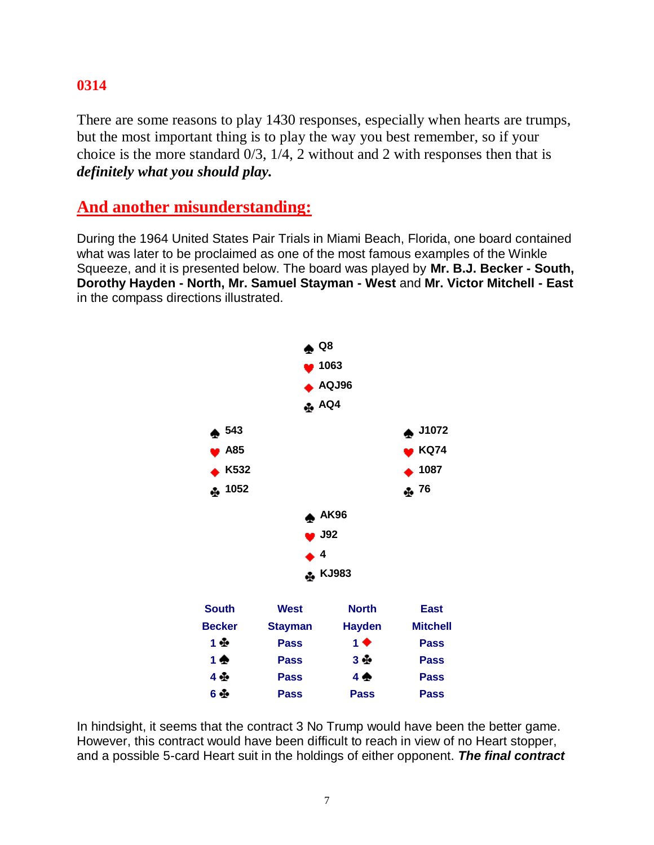#### **0314**

There are some reasons to play 1430 responses, especially when hearts are trumps, but the most important thing is to play the way you best remember, so if your choice is the more standard 0/3, 1/4, 2 without and 2 with responses then that is *definitely what you should play.*

#### **And another misunderstanding:**

During the 1964 United States Pair Trials in Miami Beach, Florida, one board contained what was later to be proclaimed as one of the most famous examples of the Winkle Squeeze, and it is presented below. The board was played by **Mr. B.J. Becker - South, Dorothy Hayden - North, Mr. Samuel Stayman - West** and **Mr. Victor Mitchell - East** in the compass directions illustrated.



In hindsight, it seems that the contract 3 No Trump would have been the better game. However, this contract would have been difficult to reach in view of no Heart stopper, and a possible 5-card Heart suit in the holdings of either opponent. *The final contract*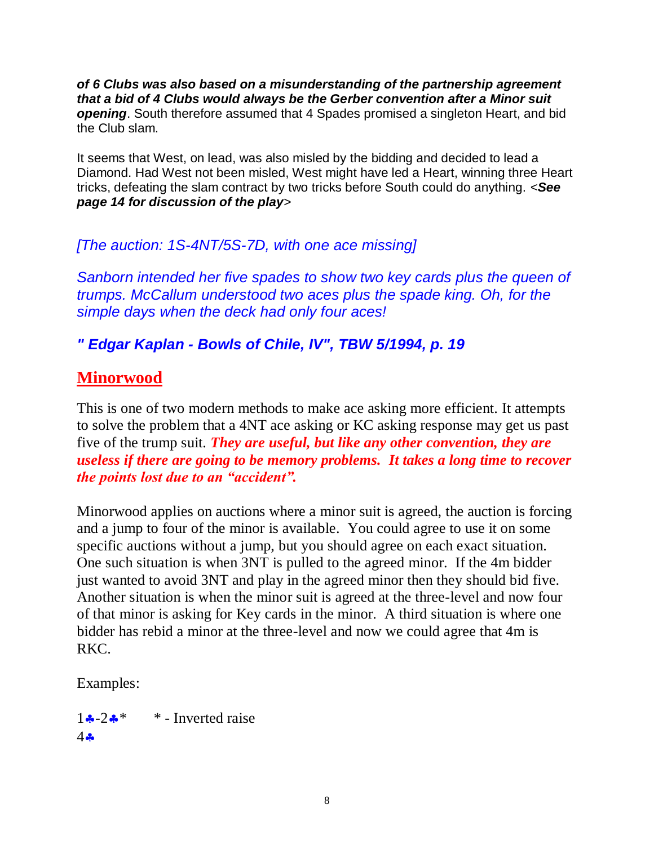*of 6 Clubs was also based on a misunderstanding of the partnership agreement that a bid of 4 Clubs would always be the Gerber convention after a Minor suit opening*. South therefore assumed that 4 Spades promised a singleton Heart, and bid the Club slam.

It seems that West, on lead, was also misled by the bidding and decided to lead a Diamond. Had West not been misled, West might have led a Heart, winning three Heart tricks, defeating the slam contract by two tricks before South could do anything. <*See page 14 for discussion of the play*>

#### *[The auction: 1S-4NT/5S-7D, with one ace missing]*

*Sanborn intended her five spades to show two key cards plus the queen of trumps. McCallum understood two aces plus the spade king. Oh, for the simple days when the deck had only four aces!*

#### *" Edgar Kaplan - Bowls of Chile, IV", TBW 5/1994, p. 19*

#### **Minorwood**

This is one of two modern methods to make ace asking more efficient. It attempts to solve the problem that a 4NT ace asking or KC asking response may get us past five of the trump suit. *They are useful, but like any other convention, they are useless if there are going to be memory problems. It takes a long time to recover the points lost due to an "accident".*

Minorwood applies on auctions where a minor suit is agreed, the auction is forcing and a jump to four of the minor is available. You could agree to use it on some specific auctions without a jump, but you should agree on each exact situation. One such situation is when 3NT is pulled to the agreed minor. If the 4m bidder just wanted to avoid 3NT and play in the agreed minor then they should bid five. Another situation is when the minor suit is agreed at the three-level and now four of that minor is asking for Key cards in the minor. A third situation is where one bidder has rebid a minor at the three-level and now we could agree that 4m is RKC.

Examples:

 $1 \cdot 2 \cdot$  \*  $*$  - Inverted raise  $4.8$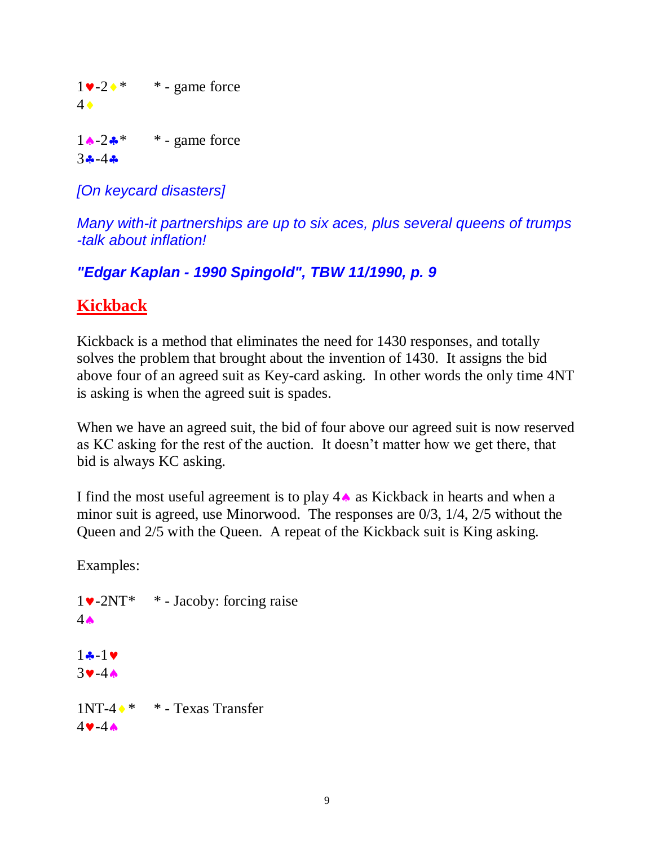$1\blacktriangledown -2\blacktriangle \blacktriangle^*$  \* - game force 4  $1 \cdot 2 \cdot$  \* - game force  $3 - 4 -$ 

*[On keycard disasters]*

*Many with-it partnerships are up to six aces, plus several queens of trumps -talk about inflation!*

*"Edgar Kaplan - 1990 Spingold", TBW 11/1990, p. 9*

## **Kickback**

Kickback is a method that eliminates the need for 1430 responses, and totally solves the problem that brought about the invention of 1430. It assigns the bid above four of an agreed suit as Key-card asking. In other words the only time 4NT is asking is when the agreed suit is spades.

When we have an agreed suit, the bid of four above our agreed suit is now reserved as KC asking for the rest of the auction. It doesn't matter how we get there, that bid is always KC asking.

I find the most useful agreement is to play  $4 \triangle$  as Kickback in hearts and when a minor suit is agreed, use Minorwood. The responses are 0/3, 1/4, 2/5 without the Queen and 2/5 with the Queen. A repeat of the Kickback suit is King asking.

Examples:

 $1\blacktriangleright$ -2NT<sup>\*</sup> \* - Jacoby: forcing raise  $4\spadesuit$  $1 - 1$  $3-4A$  $1NT-4$  \* \* - Texas Transfer  $4 - 4$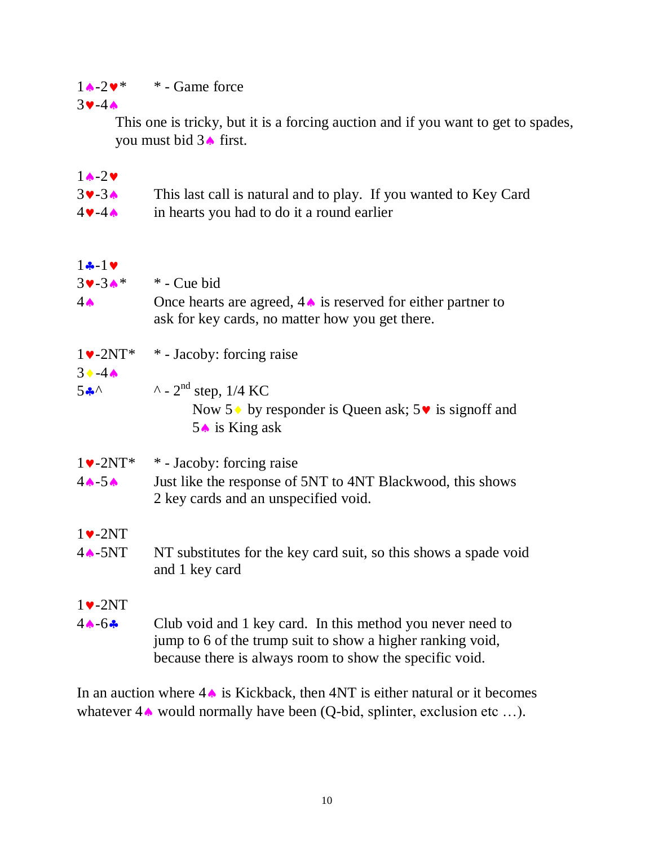$1 \cdot 2 \cdot$  \* - Game force

 $3-4$ 

This one is tricky, but it is a forcing auction and if you want to get to spades, you must bid  $3 \triangle$  first.

| $1 \wedge -2 \vee$                                 |                                                                                                                                                                                     |
|----------------------------------------------------|-------------------------------------------------------------------------------------------------------------------------------------------------------------------------------------|
| $3 - 3$                                            | This last call is natural and to play. If you wanted to Key Card                                                                                                                    |
| $4 \vee -4 \wedge$                                 | in hearts you had to do it a round earlier                                                                                                                                          |
| $1 - 1$                                            |                                                                                                                                                                                     |
| $39 - 34*$                                         | * - Cue bid                                                                                                                                                                         |
| $4 \spadesuit$                                     | Once hearts are agreed, $4 \triangle$ is reserved for either partner to<br>ask for key cards, no matter how you get there.                                                          |
| $1\blacktriangleright$ -2NT*<br>$3 \cdot -4 \cdot$ | * - Jacoby: forcing raise                                                                                                                                                           |
| $5 - \wedge$                                       | $\lambda$ - 2 <sup>nd</sup> step, 1/4 KC                                                                                                                                            |
|                                                    | Now $5 \cdot$ by responder is Queen ask; $5 \cdot \cdot$ is signoff and<br>$5 \triangle$ is King ask                                                                                |
| $1\blacktriangleright$ -2NT*                       | * - Jacoby: forcing raise                                                                                                                                                           |
| $4 - 5$                                            | Just like the response of 5NT to 4NT Blackwood, this shows<br>2 key cards and an unspecified void.                                                                                  |
| $1\blacktriangleright$ -2NT                        |                                                                                                                                                                                     |
| $4 \triangle -5NT$                                 | NT substitutes for the key card suit, so this shows a spade void<br>and 1 key card                                                                                                  |
| $1\blacktriangleright$ -2NT                        |                                                                                                                                                                                     |
| $4 - 6 -$                                          | Club void and 1 key card. In this method you never need to<br>jump to 6 of the trump suit to show a higher ranking void,<br>because there is always room to show the specific void. |

In an auction where  $4 \triangleq 1$  is Kickback, then 4NT is either natural or it becomes whatever  $4\spadesuit$  would normally have been (Q-bid, splinter, exclusion etc ...).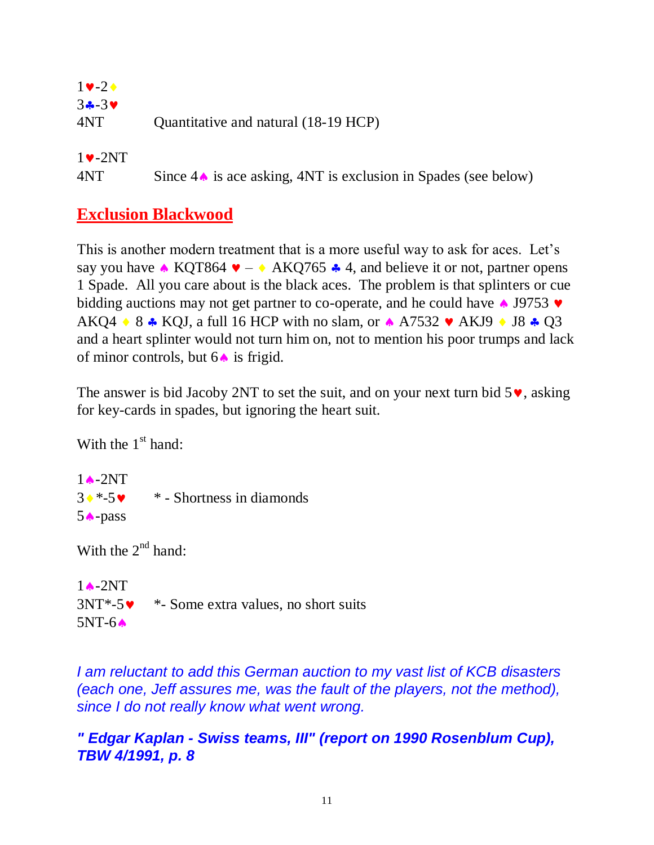| $1 \vee -2 \triangle$ |                                      |
|-----------------------|--------------------------------------|
| $3 - 3$               |                                      |
| 4NT)                  | Quantitative and natural (18-19 HCP) |

 $1\vee -2NT$ 

 $4N$ T Since  $4 \triangle 6$  is ace asking,  $4NT$  is exclusion in Spades (see below)

## **Exclusion Blackwood**

This is another modern treatment that is a more useful way to ask for aces. Let's say you have  $\triangle$  KQT864  $\triangledown - \triangle$  AKQ765  $\triangle$  4, and believe it or not, partner opens 1 Spade. All you care about is the black aces. The problem is that splinters or cue bidding auctions may not get partner to co-operate, and he could have  $\triangle$  J9753  $\triangledown$ AKQ4  $\rightarrow$  8  $\rightarrow$  KQJ, a full 16 HCP with no slam, or  $\rightarrow$  A7532  $\rightarrow$  AKJ9  $\rightarrow$  J8  $\rightarrow$  Q3 and a heart splinter would not turn him on, not to mention his poor trumps and lack of minor controls, but  $6 \triangle$  is frigid.

The answer is bid Jacoby 2NT to set the suit, and on your next turn bid  $5\vee$ , asking for key-cards in spades, but ignoring the heart suit.

With the  $1<sup>st</sup>$  hand:

 $1 \triangle -2NT$  $3 \cdot 5 \cdot 5 \cdot$  \* - Shortness in diamonds  $5 \triangle$ -pass

With the  $2^{nd}$  hand:

 $1$   $\triangle$  -2NT  $3NT*-5$  \*- Some extra values, no short suits  $5NT-6$ 

*I am reluctant to add this German auction to my vast list of KCB disasters (each one, Jeff assures me, was the fault of the players, not the method), since I do not really know what went wrong.*

#### *" Edgar Kaplan - Swiss teams, III" (report on 1990 Rosenblum Cup), TBW 4/1991, p. 8*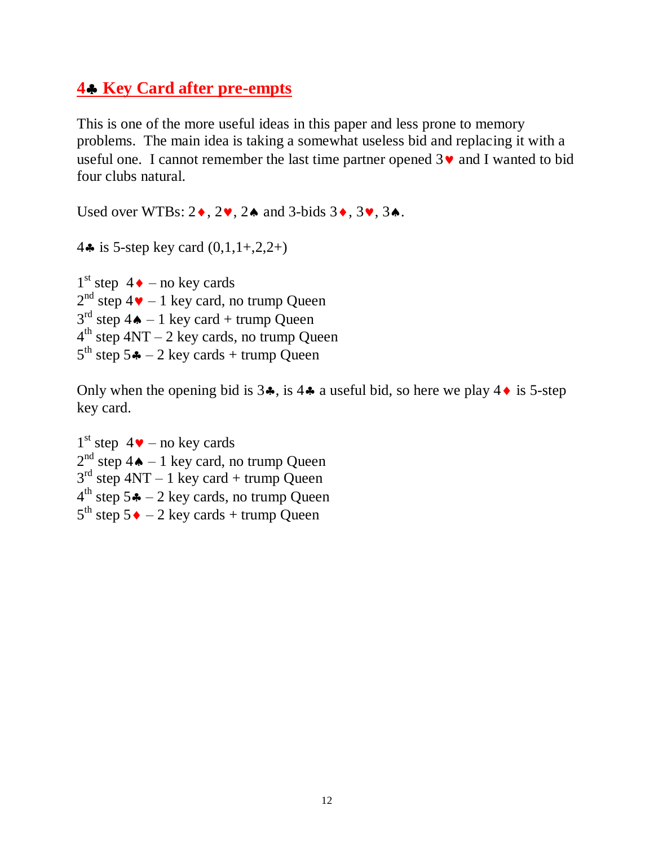#### **4 Key Card after pre-empts**

This is one of the more useful ideas in this paper and less prone to memory problems. The main idea is taking a somewhat useless bid and replacing it with a useful one. I cannot remember the last time partner opened  $3\vee$  and I wanted to bid four clubs natural.

Used over WTBs:  $2\bullet$ ,  $2\bullet$ ,  $2\bullet$  and  $3$ -bids  $3\bullet$ ,  $3\bullet$ .

4 $\clubsuit$  is 5-step key card  $(0,1,1+,2,2+)$ 

 $1<sup>st</sup>$  step 4  $\bullet$  – no key cards  $2<sup>nd</sup>$  step 4 $\blacktriangleright$  – 1 key card, no trump Queen  $3<sup>rd</sup>$  step 4 $\spadesuit$  – 1 key card + trump Queen  $4<sup>th</sup>$  step  $4NT - 2$  key cards, no trump Queen  $5<sup>th</sup>$  step  $5 - 2$  key cards + trump Queen

Only when the opening bid is  $3\clubsuit$ , is  $4\clubsuit$  a useful bid, so here we play  $4\spadesuit$  is 5-step key card.

 $1<sup>st</sup>$  step  $4 \vee -$  no key cards  $2<sup>nd</sup>$  step 4 $\spadesuit$  – 1 key card, no trump Queen  $3<sup>rd</sup>$  step  $4NT - 1$  key card + trump Queen  $4<sup>th</sup>$  step 5 $\clubsuit$  – 2 key cards, no trump Queen  $5^{\text{th}}$  step  $5 \cdot -2$  key cards + trump Queen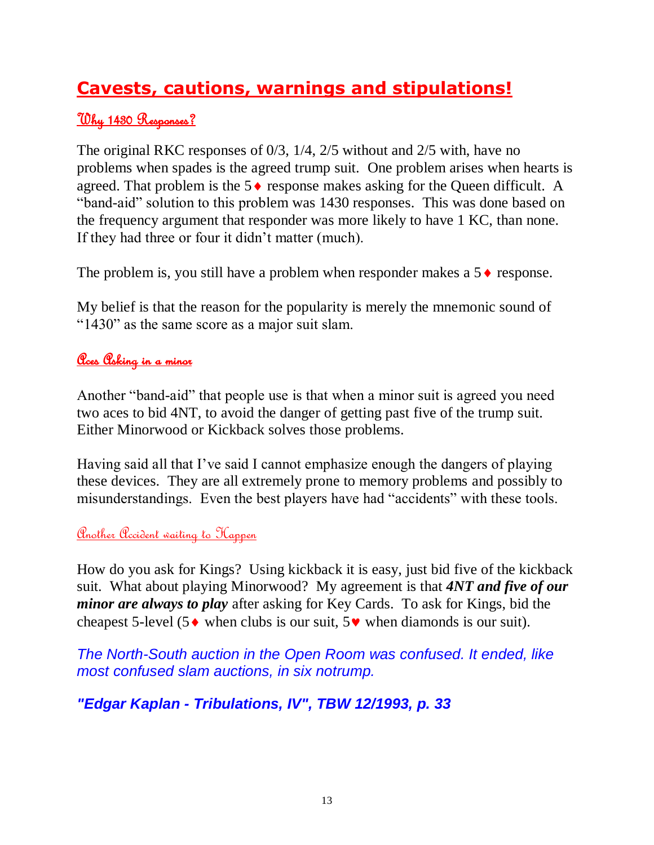## **Cavests, cautions, warnings and stipulations!**

#### Why 1430 Responses?

The original RKC responses of 0/3, 1/4, 2/5 without and 2/5 with, have no problems when spades is the agreed trump suit. One problem arises when hearts is agreed. That problem is the  $5 \triangleleft$  response makes asking for the Queen difficult. A "band-aid" solution to this problem was 1430 responses. This was done based on the frequency argument that responder was more likely to have 1 KC, than none. If they had three or four it didn't matter (much).

The problem is, you still have a problem when responder makes a  $5 \triangleleft$  response.

My belief is that the reason for the popularity is merely the mnemonic sound of "1430" as the same score as a major suit slam.

#### <u>Oces Osking in a minor</u>

Another "band-aid" that people use is that when a minor suit is agreed you need two aces to bid 4NT, to avoid the danger of getting past five of the trump suit. Either Minorwood or Kickback solves those problems.

Having said all that I've said I cannot emphasize enough the dangers of playing these devices. They are all extremely prone to memory problems and possibly to misunderstandings. Even the best players have had "accidents" with these tools.

#### Another Accident waiting to Happen

How do you ask for Kings? Using kickback it is easy, just bid five of the kickback suit. What about playing Minorwood? My agreement is that *4NT and five of our minor are always to play* after asking for Key Cards. To ask for Kings, bid the cheapest 5-level (5 $\bullet$  when clubs is our suit, 5 $\bullet$  when diamonds is our suit).

*The North-South auction in the Open Room was confused. It ended, like most confused slam auctions, in six notrump.*

## *"Edgar Kaplan - Tribulations, IV", TBW 12/1993, p. 33*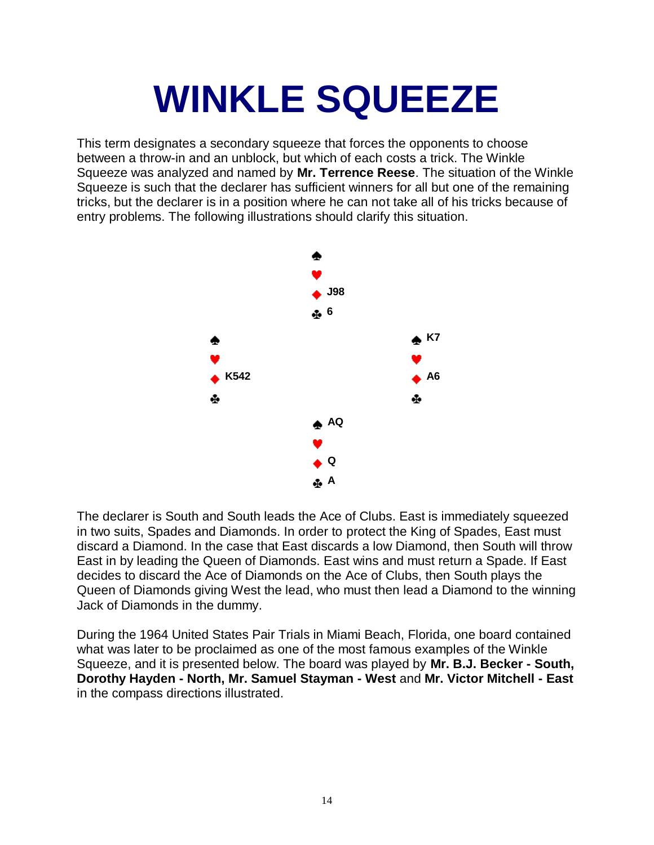# **WINKLE SQUEEZE**

This term designates a secondary squeeze that forces the opponents to choose between a throw-in and an unblock, but which of each costs a trick. The Winkle Squeeze was analyzed and named by **Mr. Terrence Reese**. The situation of the Winkle Squeeze is such that the declarer has sufficient winners for all but one of the remaining tricks, but the declarer is in a position where he can not take all of his tricks because of entry problems. The following illustrations should clarify this situation.



The declarer is South and South leads the Ace of Clubs. East is immediately squeezed in two suits, Spades and Diamonds. In order to protect the King of Spades, East must discard a Diamond. In the case that East discards a low Diamond, then South will throw East in by leading the Queen of Diamonds. East wins and must return a Spade. If East decides to discard the Ace of Diamonds on the Ace of Clubs, then South plays the Queen of Diamonds giving West the lead, who must then lead a Diamond to the winning Jack of Diamonds in the dummy.

During the 1964 United States Pair Trials in Miami Beach, Florida, one board contained what was later to be proclaimed as one of the most famous examples of the Winkle Squeeze, and it is presented below. The board was played by **Mr. B.J. Becker - South, Dorothy Hayden - North, Mr. Samuel Stayman - West** and **Mr. Victor Mitchell - East** in the compass directions illustrated.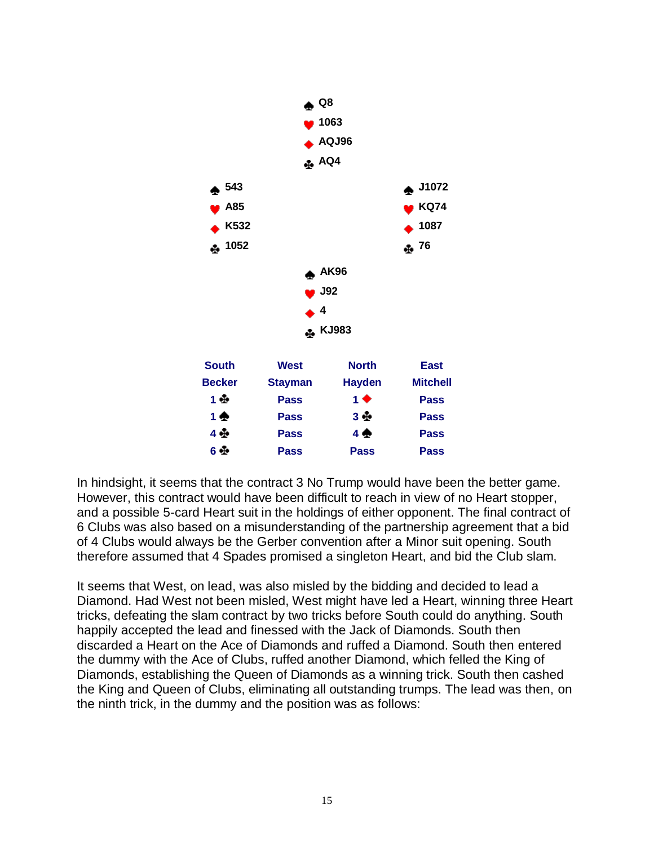

In hindsight, it seems that the contract 3 No Trump would have been the better game. However, this contract would have been difficult to reach in view of no Heart stopper, and a possible 5-card Heart suit in the holdings of either opponent. The final contract of 6 Clubs was also based on a misunderstanding of the partnership agreement that a bid of 4 Clubs would always be the Gerber convention after a Minor suit opening. South therefore assumed that 4 Spades promised a singleton Heart, and bid the Club slam.

It seems that West, on lead, was also misled by the bidding and decided to lead a Diamond. Had West not been misled, West might have led a Heart, winning three Heart tricks, defeating the slam contract by two tricks before South could do anything. South happily accepted the lead and finessed with the Jack of Diamonds. South then discarded a Heart on the Ace of Diamonds and ruffed a Diamond. South then entered the dummy with the Ace of Clubs, ruffed another Diamond, which felled the King of Diamonds, establishing the Queen of Diamonds as a winning trick. South then cashed the King and Queen of Clubs, eliminating all outstanding trumps. The lead was then, on the ninth trick, in the dummy and the position was as follows: